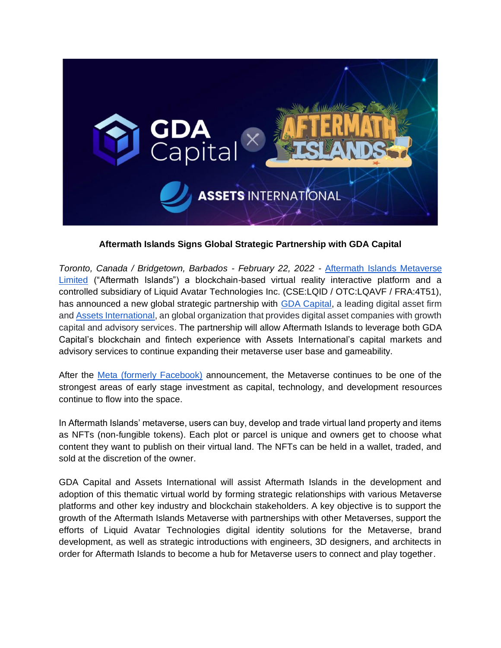

**Aftermath Islands Signs Global Strategic Partnership with GDA Capital**

*Toronto, Canada / Bridgetown, Barbados - February 22, 2022 -* [Aftermath Islands](https://aftermathislands.com/) Metaverse Limited ("Aftermath Islands") a blockchain-based virtual reality interactive platform and a controlled subsidiary of Liquid Avatar Technologies Inc. (CSE:LQID / OTC:LQAVF / FRA:4T51), has announced a new global strategic partnership with [GDA Capital,](https://gda.capital/) a leading digital asset firm and [Assets International,](https://assets.international/) an global organization that provides digital asset companies with growth capital and advisory services. The partnership will allow Aftermath Islands to leverage both GDA Capital's blockchain and fintech experience with Assets International's capital markets and advisory services to continue expanding their metaverse user base and gameability.

After the [Meta \(formerly Facebook\)](https://www.cnn.com/2021/10/28/tech/facebook-mark-zuckerberg-keynote-announcements/index.html) announcement, the Metaverse continues to be one of the strongest areas of early stage investment as capital, technology, and development resources continue to flow into the space.

In Aftermath Islands' metaverse, users can buy, develop and trade virtual land property and items as NFTs (non-fungible tokens). Each plot or parcel is unique and owners get to choose what content they want to publish on their virtual land. The NFTs can be held in a wallet, traded, and sold at the discretion of the owner.

GDA Capital and Assets International will assist Aftermath Islands in the development and adoption of this thematic virtual world by forming strategic relationships with various Metaverse platforms and other key industry and blockchain stakeholders. A key objective is to support the growth of the Aftermath Islands Metaverse with partnerships with other Metaverses, support the efforts of Liquid Avatar Technologies digital identity solutions for the Metaverse, brand development, as well as strategic introductions with engineers, 3D designers, and architects in order for Aftermath Islands to become a hub for Metaverse users to connect and play together.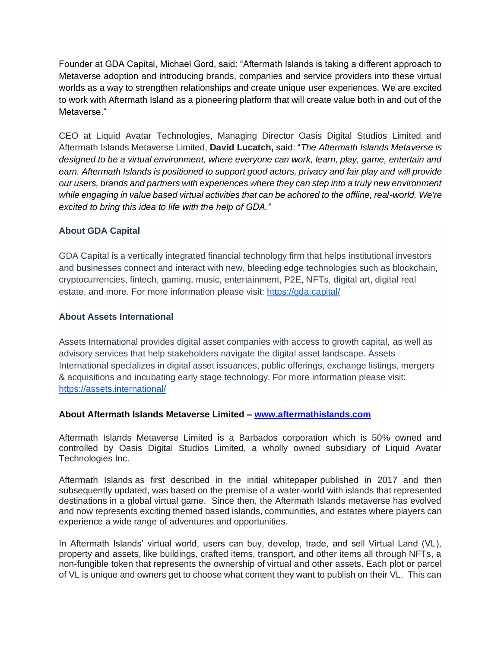Founder at GDA Capital, Michael Gord, said: "Aftermath Islands is taking a different approach to Metaverse adoption and introducing brands, companies and service providers into these virtual worlds as a way to strengthen relationships and create unique user experiences. We are excited to work with Aftermath Island as a pioneering platform that will create value both in and out of the Metaverse."

CEO at Liquid Avatar Technologies, Managing Director Oasis Digital Studios Limited and Aftermath Islands Metaverse Limited, **David Lucatch,** said: "*The Aftermath Islands Metaverse is designed to be a virtual environment, where everyone can work, learn, play, game, entertain and earn. Aftermath Islands is positioned to support good actors, privacy and fair play and will provide our users, brands and partners with experiences where they can step into a truly new environment while engaging in value based virtual activities that can be achored to the offline, real-world. We're excited to bring this idea to life with the help of GDA."*

# **About GDA Capital**

GDA Capital is a vertically integrated financial technology firm that helps institutional investors and businesses connect and interact with new, bleeding edge technologies such as blockchain, cryptocurrencies, fintech, gaming, music, entertainment, P2E, NFTs, digital art, digital real estate, and more. For more information please visit:<https://gda.capital/>

# **About Assets International**

Assets International provides digital asset companies with access to growth capital, as well as advisory services that help stakeholders navigate the digital asset landscape. Assets International specializes in digital asset issuances, public offerings, exchange listings, mergers & acquisitions and incubating early stage technology. For more information please visit: <https://assets.international/>

# **About Aftermath Islands Metaverse Limited – [www.aftermathislands.com](https://aftermathislands.com/)**

Aftermath Islands Metaverse Limited is a Barbados corporation which is 50% owned and controlled by Oasis Digital Studios Limited, a wholly owned subsidiary of Liquid Avatar Technologies Inc.

Aftermath Islands as first described in the initial whitepaper published in 2017 and then subsequently updated, was based on the premise of a water-world with islands that represented destinations in a global virtual game. Since then, the Aftermath Islands metaverse has evolved and now represents exciting themed based islands, communities, and estates where players can experience a wide range of adventures and opportunities.

In Aftermath Islands' virtual world, users can buy, develop, trade, and sell Virtual Land (VL), property and assets, like buildings, crafted items, transport, and other items all through NFTs, a non-fungible token that represents the ownership of virtual and other assets. Each plot or parcel of VL is unique and owners get to choose what content they want to publish on their VL. This can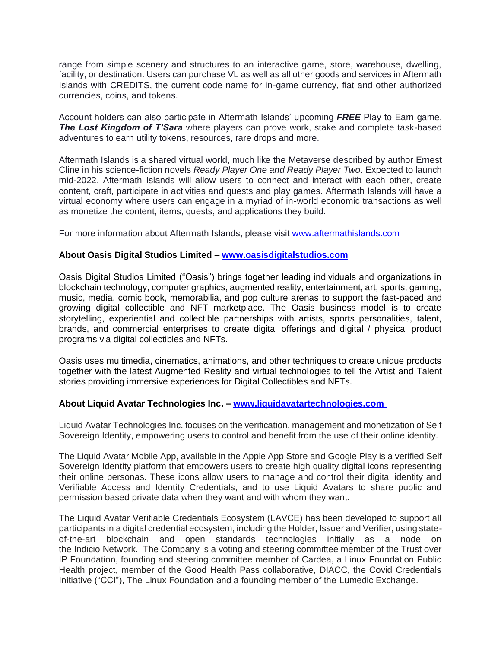range from simple scenery and structures to an interactive game, store, warehouse, dwelling, facility, or destination. Users can purchase VL as well as all other goods and services in Aftermath Islands with CREDITS, the current code name for in-game currency, fiat and other authorized currencies, coins, and tokens.

Account holders can also participate in Aftermath Islands' upcoming *FREE* Play to Earn game, *The Lost Kingdom of T'Sara* where players can prove work, stake and complete task-based adventures to earn utility tokens, resources, rare drops and more.

Aftermath Islands is a shared virtual world, much like the Metaverse described by author Ernest Cline in his science-fiction novels *Ready Player One and Ready Player Two*. Expected to launch mid-2022, Aftermath Islands will allow users to connect and interact with each other, create content, craft, participate in activities and quests and play games. Aftermath Islands will have a virtual economy where users can engage in a myriad of in-world economic transactions as well as monetize the content, items, quests, and applications they build.

For more information about Aftermath Islands, please visit [www.aftermathislands.com](https://aftermathislands.com/)

### **About Oasis Digital Studios Limited – [www.oasisdigitalstudios.com](https://oasisdigitalstudios.com/)**

Oasis Digital Studios Limited ("Oasis") brings together leading individuals and organizations in blockchain technology, computer graphics, augmented reality, entertainment, art, sports, gaming, music, media, comic book, memorabilia, and pop culture arenas to support the fast-paced and growing digital collectible and NFT marketplace. The Oasis business model is to create storytelling, experiential and collectible partnerships with artists, sports personalities, talent, brands, and commercial enterprises to create digital offerings and digital / physical product programs via digital collectibles and NFTs.

Oasis uses multimedia, cinematics, animations, and other techniques to create unique products together with the latest Augmented Reality and virtual technologies to tell the Artist and Talent stories providing immersive experiences for Digital Collectibles and NFTs.

# **About Liquid Avatar Technologies Inc. – [www.liquidavatartechnologies.com](http://www.liquidavatartechnologies.com/)**

Liquid Avatar Technologies Inc. focuses on the verification, management and monetization of Self Sovereign Identity, empowering users to control and benefit from the use of their online identity.

The Liquid Avatar Mobile App, available in the Apple App Store and Google Play is a verified Self Sovereign Identity platform that empowers users to create high quality digital icons representing their online personas. These icons allow users to manage and control their digital identity and Verifiable Access and Identity Credentials, and to use Liquid Avatars to share public and permission based private data when they want and with whom they want.

The Liquid Avatar Verifiable Credentials Ecosystem (LAVCE) has been developed to support all participants in a digital credential ecosystem, including the Holder, Issuer and Verifier, using stateof-the-art blockchain and open standards technologies initially as a node on the Indicio Network. The Company is a voting and steering committee member of the Trust over IP Foundation, founding and steering committee member of Cardea, a Linux Foundation Public Health project, member of the Good Health Pass collaborative, DIACC, the Covid Credentials Initiative ("CCI"), The Linux Foundation and a founding member of the Lumedic Exchange.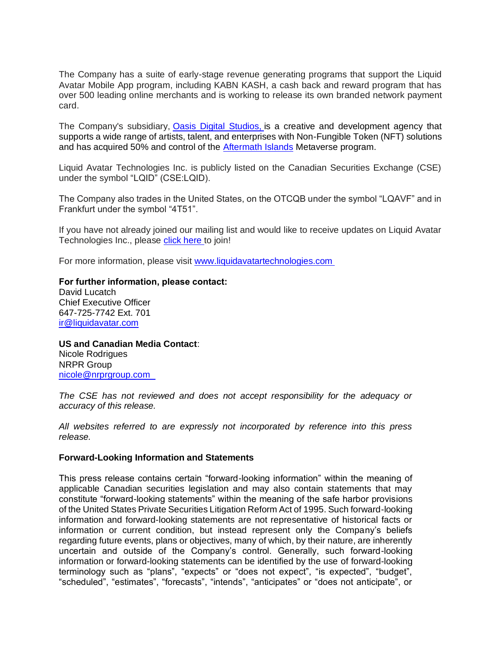The Company has a suite of early-stage revenue generating programs that support the Liquid Avatar Mobile App program, including KABN KASH, a cash back and reward program that has over 500 leading online merchants and is working to release its own branded network payment card.

The Company's subsidiary, [Oasis Digital Studios,](https://oasisdigitalstudios.com/) is a creative and development agency that supports a wide range of artists, talent, and enterprises with Non-Fungible Token (NFT) solutions and has acquired 50% and control of the [Aftermath Islands](http://www.aftermathislands.com/) Metaverse program.

Liquid Avatar Technologies Inc. is publicly listed on the Canadian Securities Exchange (CSE) under the symbol "LQID" (CSE:LQID).

The Company also trades in the United States, on the OTCQB under the symbol "LQAVF" and in Frankfurt under the symbol "4T51".

If you have not already joined our mailing list and would like to receive updates on Liquid Avatar Technologies Inc., please [click here](https://hello.liquidavatar.com/liquid-avatar-updates) to join!

For more information, please visit [www.liquidavatartechnologies.com](http://www.liquidavatartechnologies.com/)

**For further information, please contact:** David Lucatch Chief Executive Officer 647-725-7742 Ext. 701 [ir@liquidavatar.com](mailto:ir@liquidavatar.com)

**US and Canadian Media Contact**: Nicole Rodrigues NRPR Group [nicole@nrprgroup.com](mailto:nicole@nrprgroup.com) 

*The CSE has not reviewed and does not accept responsibility for the adequacy or accuracy of this release.*

*All websites referred to are expressly not incorporated by reference into this press release.*

#### **Forward-Looking Information and Statements**

This press release contains certain "forward-looking information" within the meaning of applicable Canadian securities legislation and may also contain statements that may constitute "forward-looking statements" within the meaning of the safe harbor provisions of the United States Private Securities Litigation Reform Act of 1995. Such forward-looking information and forward-looking statements are not representative of historical facts or information or current condition, but instead represent only the Company's beliefs regarding future events, plans or objectives, many of which, by their nature, are inherently uncertain and outside of the Company's control. Generally, such forward-looking information or forward-looking statements can be identified by the use of forward-looking terminology such as "plans", "expects" or "does not expect", "is expected", "budget", "scheduled", "estimates", "forecasts", "intends", "anticipates" or "does not anticipate", or